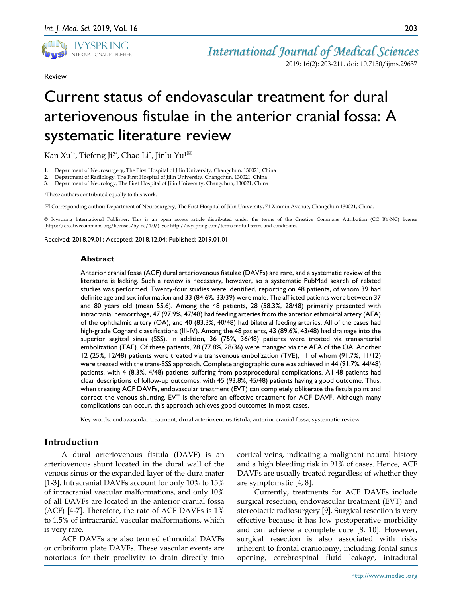

Review

2019; 16(2): 203-211. doi: 10.7150/ijms.29637

# Current status of endovascular treatment for dural arteriovenous fistulae in the anterior cranial fossa: A systematic literature review

Kan Xu<sup>1\*</sup>, Tiefeng Ji<sup>2\*</sup>, Chao Li<sup>3</sup>, Jinlu Yu<sup>1 $\boxtimes$ </sup>

- 1. Department of Neurosurgery, The First Hospital of Jilin University, Changchun, 130021, China
- 2. Department of Radiology, The First Hospital of Jilin University, Changchun, 130021, China
- 3. Department of Neurology, The First Hospital of Jilin University, Changchun, 130021, China

\*These authors contributed equally to this work.

Corresponding author: Department of Neurosurgery, The First Hospital of Jilin University, 71 Xinmin Avenue, Changchun 130021, China.

© Ivyspring International Publisher. This is an open access article distributed under the terms of the Creative Commons Attribution (CC BY-NC) license (https://creativecommons.org/licenses/by-nc/4.0/). See http://ivyspring.com/terms for full terms and conditions.

Received: 2018.09.01; Accepted: 2018.12.04; Published: 2019.01.01

## **Abstract**

Anterior cranial fossa (ACF) dural arteriovenous fistulae (DAVFs) are rare, and a systematic review of the literature is lacking. Such a review is necessary, however, so a systematic PubMed search of related studies was performed. Twenty-four studies were identified, reporting on 48 patients, of whom 39 had definite age and sex information and 33 (84.6%, 33/39) were male. The afflicted patients were between 37 and 80 years old (mean 55.6). Among the 48 patients, 28 (58.3%, 28/48) primarily presented with intracranial hemorrhage, 47 (97.9%, 47/48) had feeding arteries from the anterior ethmoidal artery (AEA) of the ophthalmic artery (OA), and 40 (83.3%, 40/48) had bilateral feeding arteries. All of the cases had high-grade Cognard classifications (III-IV). Among the 48 patients, 43 (89.6%, 43/48) had drainage into the superior sagittal sinus (SSS). In addition, 36 (75%, 36/48) patients were treated via transarterial embolization (TAE). Of these patients, 28 (77.8%, 28/36) were managed via the AEA of the OA. Another 12 (25%, 12/48) patients were treated via transvenous embolization (TVE), 11 of whom (91.7%, 11/12) were treated with the trans-SSS approach. Complete angiographic cure was achieved in 44 (91.7%, 44/48) patients, with 4 (8.3%, 4/48) patients suffering from postprocedural complications. All 48 patients had clear descriptions of follow-up outcomes, with 45 (93.8%, 45/48) patients having a good outcome. Thus, when treating ACF DAVFs, endovascular treatment (EVT) can completely obliterate the fistula point and correct the venous shunting. EVT is therefore an effective treatment for ACF DAVF. Although many complications can occur, this approach achieves good outcomes in most cases.

Key words: endovascular treatment, dural arteriovenous fistula, anterior cranial fossa, systematic review

# **Introduction**

A dural arteriovenous fistula (DAVF) is an arteriovenous shunt located in the dural wall of the venous sinus or the expanded layer of the dura mater [1-3]. Intracranial DAVFs account for only 10% to 15% of intracranial vascular malformations, and only 10% of all DAVFs are located in the anterior cranial fossa (ACF) [4-7]. Therefore, the rate of ACF DAVFs is 1% to 1.5% of intracranial vascular malformations, which is very rare.

ACF DAVFs are also termed ethmoidal DAVFs or cribriform plate DAVFs. These vascular events are notorious for their proclivity to drain directly into cortical veins, indicating a malignant natural history and a high bleeding risk in 91% of cases. Hence, ACF DAVFs are usually treated regardless of whether they are symptomatic [4, 8].

Currently, treatments for ACF DAVFs include surgical resection, endovascular treatment (EVT) and stereotactic radiosurgery [9]. Surgical resection is very effective because it has low postoperative morbidity and can achieve a complete cure [8, 10]. However, surgical resection is also associated with risks inherent to frontal craniotomy, including fontal sinus opening, cerebrospinal fluid leakage, intradural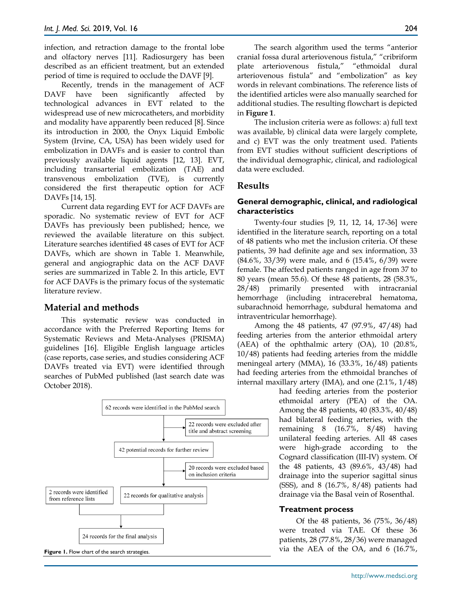infection, and retraction damage to the frontal lobe and olfactory nerves [11]. Radiosurgery has been described as an efficient treatment, but an extended period of time is required to occlude the DAVF [9].

Recently, trends in the management of ACF DAVF have been significantly affected by technological advances in EVT related to the widespread use of new microcatheters, and morbidity and modality have apparently been reduced [8]. Since its introduction in 2000, the Onyx Liquid Embolic System (Irvine, CA, USA) has been widely used for embolization in DAVFs and is easier to control than previously available liquid agents [12, 13]. EVT, including transarterial embolization (TAE) and transvenous embolization (TVE), is currently considered the first therapeutic option for ACF DAVFs [14, 15].

Current data regarding EVT for ACF DAVFs are sporadic. No systematic review of EVT for ACF DAVFs has previously been published; hence, we reviewed the available literature on this subject. Literature searches identified 48 cases of EVT for ACF DAVFs, which are shown in Table 1. Meanwhile, general and angiographic data on the ACF DAVF series are summarized in Table 2. In this article, EVT for ACF DAVFs is the primary focus of the systematic literature review.

# **Material and methods**

This systematic review was conducted in accordance with the Preferred Reporting Items for Systematic Reviews and Meta-Analyses (PRISMA) guidelines [16]. Eligible English language articles (case reports, case series, and studies considering ACF DAVFs treated via EVT) were identified through searches of PubMed published (last search date was October 2018).



plate arteriovenous fistula," "ethmoidal dural arteriovenous fistula" and "embolization" as key words in relevant combinations. The reference lists of the identified articles were also manually searched for additional studies. The resulting flowchart is depicted in **Figure 1**.

The inclusion criteria were as follows: a) full text was available, b) clinical data were largely complete, and c) EVT was the only treatment used. Patients from EVT studies without sufficient descriptions of the individual demographic, clinical, and radiological data were excluded.

# **Results**

# **General demographic, clinical, and radiological characteristics**

Twenty-four studies [9, 11, 12, 14, 17-36] were identified in the literature search, reporting on a total of 48 patients who met the inclusion criteria. Of these patients, 39 had definite age and sex information, 33 (84.6%, 33/39) were male, and 6 (15.4%, 6/39) were female. The affected patients ranged in age from 37 to 80 years (mean 55.6). Of these 48 patients, 28 (58.3%, 28/48) primarily presented with intracranial hemorrhage (including intracerebral hematoma, subarachnoid hemorrhage, subdural hematoma and intraventricular hemorrhage).

Among the 48 patients, 47 (97.9%, 47/48) had feeding arteries from the anterior ethmoidal artery (AEA) of the ophthalmic artery (OA), 10 (20.8%, 10/48) patients had feeding arteries from the middle meningeal artery (MMA), 16 (33.3%, 16/48) patients had feeding arteries from the ethmoidal branches of internal maxillary artery (IMA), and one (2.1%, 1/48)

> had feeding arteries from the posterior ethmoidal artery (PEA) of the OA. Among the 48 patients, 40 (83.3%, 40/48) had bilateral feeding arteries, with the remaining 8 (16.7%, 8/48) having unilateral feeding arteries. All 48 cases were high-grade according to the Cognard classification (III-IV) system. Of the 48 patients, 43 (89.6%, 43/48) had drainage into the superior sagittal sinus (SSS), and 8 (16.7%, 8/48) patients had drainage via the Basal vein of Rosenthal.

## **Treatment process**

Of the 48 patients, 36 (75%, 36/48) were treated via TAE. Of these 36 patients, 28 (77.8%, 28/36) were managed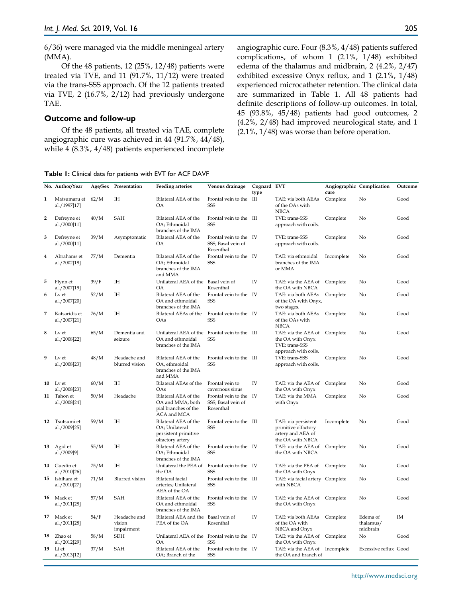6/36) were managed via the middle meningeal artery (MMA).

Of the 48 patients, 12 (25%, 12/48) patients were treated via TVE, and 11 (91.7%, 11/12) were treated via the trans-SSS approach. Of the 12 patients treated via TVE, 2 (16.7%, 2/12) had previously undergone TAE.

#### **Outcome and follow-up**

Of the 48 patients, all treated via TAE, complete angiographic cure was achieved in 44 (91.7%, 44/48), while 4 (8.3%, 4/48) patients experienced incomplete angiographic cure. Four (8.3%, 4/48) patients suffered complications, of whom 1 (2.1%, 1/48) exhibited edema of the thalamus and midbrain, 2 (4.2%, 2/47) exhibited excessive Onyx reflux, and 1 (2.1%, 1/48) experienced microcatheter retention. The clinical data are summarized in Table 1. All 48 patients had definite descriptions of follow-up outcomes. In total, 45 (93.8%, 45/48) patients had good outcomes, 2 (4.2%, 2/48) had improved neurological state, and 1 (2.1%, 1/48) was worse than before operation.

**Table 1:** Clinical data for patients with EVT for ACF DAVF

|                | No. Author/Year                |      | Age/Sex Presentation                 | <b>Feeding arteries</b>                                                                  | Venous drainage                                           | Cognard EVT<br>type |                                                                                             | Angiographic Complication<br>cure |                                   | Outcome |
|----------------|--------------------------------|------|--------------------------------------|------------------------------------------------------------------------------------------|-----------------------------------------------------------|---------------------|---------------------------------------------------------------------------------------------|-----------------------------------|-----------------------------------|---------|
| $\mathbf{1}$   | Matsumaru et<br>al./1997[17]   | 62/M | ΙH                                   | Bilateral AEA of the<br><b>OA</b>                                                        | Frontal vein to the III<br>SSS                            |                     | TAE: via both AEAs<br>of the OAs with<br><b>NBCA</b>                                        | Complete<br>No                    |                                   | Good    |
| $\overline{2}$ | Defreyne et<br>al./2000[11]    | 40/M | SAH                                  | Bilateral AEA of the<br>OA; Ethmoidal<br>branches of the IMA                             | Frontal vein to the III<br>SSS                            |                     | TVE: trans-SSS<br>approach with coils.                                                      | Complete                          | No                                | Good    |
| 3              | Defreyne et<br>al./2000[11]    | 39/M | Asymptomatic                         | Bilateral AEA of the<br><b>OA</b>                                                        | Frontal vein to the IV<br>SSS; Basal vein of<br>Rosenthal |                     | TVE: trans-SSS<br>approach with coils.                                                      | Complete                          | No                                | Good    |
| 4              | Abrahams et<br>al./2002[18]    | 77/M | Dementia                             | Bilateral AEA of the<br>OA; Ethmoidal<br>branches of the IMA<br>and MMA                  | Frontal vein to the IV<br>SSS                             |                     | TAE: via ethmoidal<br>branches of the IMA<br>or MMA                                         | Incomplete                        | No                                | Good    |
| 5              | Flynn et<br>al./2007[19]       | 39/F | ΙH                                   | Unilateral AEA of the Basal vein of<br><b>OA</b>                                         | Rosenthal                                                 | IV                  | TAE: via the AEA of Complete<br>the OA with NBCA                                            |                                   | No                                | Good    |
| 6              | Lv et<br>al./2007[20]          | 52/M | ΙH                                   | Bilateral AEA of the<br>OA and ethmoidal<br>branches of the IMA                          | Frontal vein to the IV<br>SSS                             |                     | TAE: via both AEAs Complete<br>of the OA with Onyx,<br>two stages.                          |                                   | No                                | Good    |
| 7              | Katsaridis et<br>al./2007[21]  | 76/M | <b>IH</b>                            | Bilateral AEAs of the<br>OAs                                                             | Frontal vein to the IV<br>SSS                             |                     | TAE: via both AEAs Complete<br>of the OAs with<br><b>NBCA</b>                               | No                                |                                   | Good    |
| 8              | Lv et<br>al./2008[22]          | 65/M | Dementia and<br>seizure              | Unilateral AEA of the Frontal vein to the III<br>OA and ethmoidal<br>branches of the IMA | SSS                                                       |                     | TAE: via the AEA of Complete<br>the OA with Onyx.<br>TVE: trans-SSS<br>approach with coils. |                                   | No                                | Good    |
| 9              | Lv et<br>al./2008[23]          | 48/M | Headache and<br>blurred vision       | Bilateral AEA of the<br>OA, ethmoidal<br>branches of the IMA<br>and MMA                  | Frontal vein to the III<br>SSS                            |                     | TVE: trans-SSS<br>approach with coils.                                                      | Complete                          | No                                | Good    |
| 10             | Lv et<br>al./2008[23]          | 60/M | ΙH                                   | Bilateral AEAs of the<br>OAs                                                             | Frontal vein to<br>cavernous sinus                        | IV                  | TAE: via the AEA of<br>the OA with Onyx                                                     | Complete<br>No                    |                                   | Good    |
|                | 11 Tahon et<br>al./2008[24]    | 50/M | Headache                             | Bilateral AEA of the<br>OA and MMA, both<br>pial branches of the<br>ACA and MCA          | Frontal vein to the IV<br>SSS; Basal vein of<br>Rosenthal |                     | TAE: via the MMA<br>with Onyx                                                               | Complete<br>No                    |                                   | Good    |
|                | 12 Tsutsumi et<br>al./2009[25] | 59/M | ΙH                                   | Bilateral AEA of the<br>OA; Unilateral<br>persistent primitive<br>olfactory artery       | Frontal vein to the III<br>SSS                            |                     | TAE: via persistent<br>primitive olfactory<br>artery and AEA of<br>the OA with NBCA         | Incomplete<br>No                  |                                   | Good    |
| 13             | Agid et<br>al./2009[9]         | 55/M | IH                                   | Bilateral AEA of the<br>OA; Ethmoidal<br>branches of the IMA                             | Frontal vein to the IV<br><b>SSS</b>                      |                     | TAE: via the AEA of Complete<br>the OA with NBCA                                            | No                                |                                   | Good    |
|                | 14 Guedin et<br>al./2010[26]   | 75/M | ΙH                                   | Unilateral the PEA of<br>the OA                                                          | Frontal vein to the IV<br>SSS                             |                     | TAE: via the PEA of<br>the OA with Onyx                                                     | Complete<br>No                    |                                   | Good    |
|                | 15 Ishihara et<br>al./2010[27] | 71/M | Blurred vision                       | Bilateral facial<br>arteries; Unilateral<br>AEA of the OA                                | Frontal vein to the III<br>SSS                            |                     | TAE: via facial artery Complete<br>with NBCA                                                | No                                |                                   | Good    |
|                | 16 Mack et<br>al./2011[28]     | 57/M | SAH                                  | Bilateral AEA of the<br>OA and ethmoidal<br>branches of the IMA                          | Frontal vein to the IV<br>SSS                             |                     | TAE: via the AEA of Complete<br>the OA with Onyx                                            | No                                |                                   | Good    |
|                | 17 Mack et<br>al./2011[28]     | 54/F | Headache and<br>vision<br>impairment | Bilateral AEA and the<br>PEA of the OA                                                   | Basal vein of<br>Rosenthal                                | IV                  | TAE: via both AEAs Complete<br>of the OA with<br>NBCA and Onyx                              |                                   | Edema of<br>thalamus/<br>midbrain | IM      |
| 18             | Zhao et<br>al./2012[29]        | 58/M | <b>SDH</b>                           | Unilateral AEA of the<br>OA                                                              | Frontal vein to the IV<br>SSS                             |                     | TAE: via the AEA of Complete<br>the OA with Onyx.                                           |                                   | No                                | Good    |
| 19             | Li et<br>al./2013[12]          | 37/M | SAH                                  | Bilateral AEA of the<br>OA; Branch of the                                                | Frontal vein to the IV<br>SSS                             |                     | TAE: via the AEA of Incomplete<br>the OA and branch of                                      |                                   | Excessive reflux Good             |         |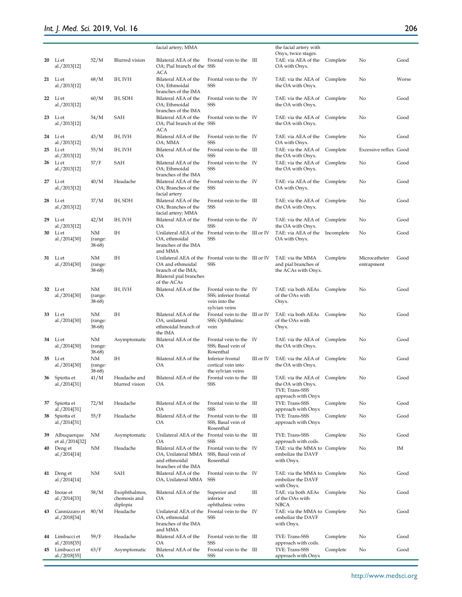# *Int. J. Med. Sci.* 2019, Vol. 16

206

|    |                                |                            |                                           | facial artery; MMA                                                                                        |                                                                                   |           | the facial artery with                                                                    |            |                             |       |
|----|--------------------------------|----------------------------|-------------------------------------------|-----------------------------------------------------------------------------------------------------------|-----------------------------------------------------------------------------------|-----------|-------------------------------------------------------------------------------------------|------------|-----------------------------|-------|
|    |                                |                            |                                           |                                                                                                           |                                                                                   |           | Onyx, twice stages.                                                                       |            |                             |       |
|    | 20 Liet<br>al./2013[12]        | 52/M                       | Blurred vision                            | Bilateral AEA of the<br>OA; Pial branch of the SSS<br>ACA                                                 | Frontal vein to the III                                                           |           | TAE: via AEA of the<br>OA with Onyx.                                                      | Complete   | No                          | Good  |
|    | 21 Li et<br>al./2013[12]       | 68/M                       | IH, IVH                                   | Bilateral AEA of the<br>OA; Ethmoidal<br>branches of the IMA                                              | Frontal vein to the IV<br>SSS                                                     |           | TAE: via the AEA of<br>the OA with Onyx.                                                  | Complete   | No                          | Worse |
|    | 22 Liet<br>al./2013[12]        | 60/M                       | IH, SDH                                   | Bilateral AEA of the<br>OA; Ethmoidal<br>branches of the IMA                                              | Frontal vein to the IV<br>SSS                                                     |           | TAE: via the AEA of<br>the OA with Onyx.                                                  | Complete   | No                          | Good  |
| 23 | Li et<br>al./2013[12]          | 54/M                       | SAH                                       | Bilateral AEA of the<br>OA; Pial branch of the SSS<br>ACA                                                 | Frontal vein to the IV                                                            |           | TAE: via the AEA of<br>the OA with Onyx.                                                  | Complete   | No                          | Good  |
|    | 24 Liet<br>al./2013[12]        | 43/M                       | IH, IVH                                   | Bilateral AEA of the<br>OA; MMA                                                                           | Frontal vein to the IV<br>SSS                                                     |           | TAE: via AEA of the<br>OA with Onyx.                                                      | Complete   | No                          | Good  |
| 25 | Li et<br>al./2013[12]          | 55/M                       | IH, IVH                                   | Bilateral AEA of the<br>OA                                                                                | Frontal vein to the III<br><b>SSS</b>                                             |           | TAE: via the AEA of<br>the OA with Onyx.                                                  | Complete   | Excessive reflux Good       |       |
| 26 | Li et<br>al./2013[12]          | 57/F                       | SAH                                       | Bilateral AEA of the<br>OA; Ethmoidal<br>branches of the IMA                                              | Frontal vein to the IV<br>SSS                                                     |           | TAE: via the AEA of<br>the OA with Onyx.                                                  | Complete   | No                          | Good  |
|    | 27 Li et<br>al./2013[12]       | 40/M                       | Headache                                  | Bilateral AEA of the<br>OA; Branches of the<br>facial artery                                              | Frontal vein to the IV<br><b>SSS</b>                                              |           | TAE: via AEA of the<br>OA with Onyx.                                                      | Complete   | No                          | Good  |
| 28 | Li et<br>al./2013[12]          | 37/M                       | IH, SDH                                   | Bilateral AEA of the<br>OA; Branches of the<br>facial artery; MMA                                         | Frontal vein to the III<br>SSS                                                    |           | TAE: via the AEA of<br>the OA with Onyx.                                                  | Complete   | No                          | Good  |
| 29 | Li et<br>al./2013[12]          | 42/M                       | IH, IVH                                   | Bilateral AEA of the<br>OA                                                                                | Frontal vein to the IV<br>SSS                                                     |           | TAE: via the AEA of<br>the OA with Onyx.                                                  | Complete   | No                          | Good  |
| 30 | Li et<br>al./2014[30]          | NΜ<br>(range:<br>$38-68$   | ΙH                                        | Unilateral AEA of the<br>OA, ethmoidal<br>branches of the IMA<br>and MMA                                  | Frontal vein to the III or IV<br>SSS                                              |           | TAE: via AEA of the<br>OA with Onyx.                                                      | Incomplete | No                          | Good  |
| 31 | Li et<br>al./2014[30]          | NΜ<br>(range:<br>$38-68$   | ΙH                                        | Unilateral AEA of the<br>OA and ethmoidal<br>branch of the IMA;<br>Bilateral pial branches<br>of the ACAs | Frontal vein to the III or IV<br>SSS                                              |           | TAE: via the MMA<br>and pial branches of<br>the ACAs with Onyx.                           | Complete   | Microcatheter<br>entrapment | Good  |
|    | 32 Liet<br>al./2014[30]        | NM<br>(range:<br>$38-68$   | IH, IVH                                   | Bilateral AEA of the<br>OA                                                                                | Frontal vein to the IV<br>SSS; inferior frontal<br>vein into the<br>sylvian veins |           | TAE: via both AEAs<br>of the OAs with<br>Onyx.                                            | Complete   | No                          | Good  |
| 33 | Li et<br>al./2014[30]          | NΜ<br>(range:<br>$38-68$ ) | ΙH                                        | Bilateral AEA of the<br>OA, unilateral<br>ethmoidal branch of<br>the IMA                                  | Frontal vein to the III or IV<br>SSS; Ophthalmic<br>vein                          |           | TAE: via both AEAs<br>of the OAs with<br>Onyx.                                            | Complete   | No                          | Good  |
|    | 34 Liet<br>al./2014[30]        | NM<br>(range:<br>$38-68$   | Asymptomatic                              | Bilateral AEA of the<br>OA                                                                                | Frontal vein to the IV<br>SSS; Basal vein of<br>Rosenthal                         |           | TAE: via the AEA of Complete<br>the OA with Onyx.                                         |            | No                          | Good  |
|    | 35 Liet<br>al./2014[30]        | NΜ<br>(range:<br>38-68)    | ΙH                                        | Bilateral AEA of the<br>OA                                                                                | Inferior frontal<br>cortical vein into<br>the sylvian veins                       | III or IV | TAE: via the AEA of<br>the OA with Onyx.                                                  | Complete   | No                          | Good  |
|    | 36 Spiotta et<br>al./2014[31]  | 41/M                       | Headache and<br>blurred vision            | Bilateral AEA of the<br>ΟA                                                                                | Frontal vein to the III<br>SSS                                                    |           | TAE: via the AEA of Complete<br>the OA with Onyx.<br>TVE: Trans-SSS<br>approach with Onyx |            | No                          | Good  |
| 37 | Spiotta et<br>al./2014[31]     | 72/M                       | Headache                                  | Bilateral AEA of the<br>OA                                                                                | Frontal vein to the III<br>SSS                                                    |           | TVE: Trans-SSS<br>approach with Onyx                                                      | Complete   | No                          | Good  |
| 38 | Spiotta et<br>al./2014[31]     | 55/F                       | Headache                                  | Bilateral AEA of the<br>OA                                                                                | Frontal vein to the III<br>SSS, Basal vein of<br>Rosenthal                        |           | TVE: Trans-SSS<br>approach with Onyx                                                      | Complete   | No                          | Good  |
| 39 | Albuquerque<br>et al./2014[32] | NM                         | Asymptomatic                              | Unilateral AEA of the<br>OA                                                                               | Frontal vein to the III<br>SSS                                                    |           | TVE: Trans-SSS<br>approach with coils.                                                    | Complete   | No                          | Good  |
|    | 40 Deng et<br>al./2014[14]     | NM                         | Headache                                  | Bilateral AEA of the<br>OA, Unilateral MMA<br>and ethmoidal<br>branches of the IMA                        | Frontal vein to the IV<br>SSS, Basal vein of<br>Rosenthal                         |           | TAE: via the MMA to Complete<br>embolize the DAVF<br>with Onyx.                           |            | No                          | ΙM    |
|    | 41 Deng et<br>al./2014[14]     | NM                         | SAH                                       | Bilateral AEA of the<br>OA, Unilateral MMA                                                                | Frontal vein to the IV<br>SSS                                                     |           | TAE: via the MMA to Complete<br>embolize the DAVF<br>with Onyx.                           |            | No                          | Good  |
|    | 42 Inoue et<br>al./2014[33]    | 58/M                       | Exophthalmos,<br>chemosis and<br>diplopia | Bilateral AEA of the<br>OA                                                                                | Superior and<br>inferior<br>ophthalmic veins                                      | Ш         | TAE: via both AEAs Complete<br>of the OAs with<br>NBCA                                    |            | No                          | Good  |
| 43 | Cannizzaro et<br>al./2018[34]  | 80/M                       | Headache                                  | Unilateral AEA of the<br>OA, ethmoidal<br>branches of the IMA<br>and MMA                                  | Frontal vein to the IV<br>SSS                                                     |           | TAE: via the MMA to Complete<br>embolize the DAVF<br>with Onyx.                           |            | No                          | Good  |
| 44 | Limbucci et<br>al./2018[35]    | 59/F                       | Headache                                  | Bilateral AEA of the<br>OA                                                                                | Frontal vein to the III<br>SSS                                                    |           | TVE: Trans-SSS<br>approach with coils.                                                    | Complete   | No                          | Good  |
|    | 45 Limbucci et<br>al./2018[35] | 63/F                       | Asymptomatic                              | Bilateral AEA of the<br>OA                                                                                | Frontal vein to the III<br>SSS                                                    |           | TVE: Trans-SSS<br>approach with Onyx                                                      | Complete   | No                          | Good  |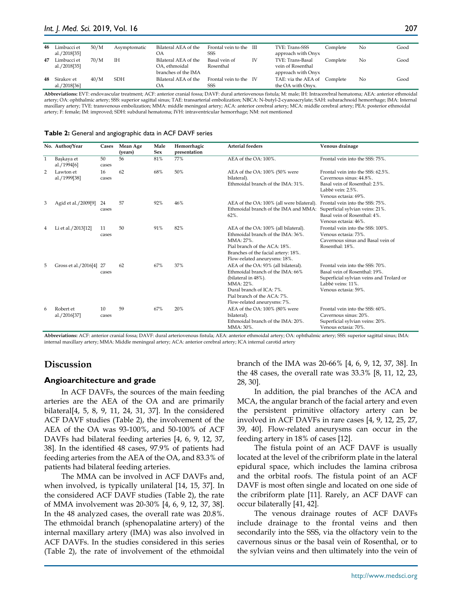| 46 | Limbucci et<br>al./2018[35]   | 50/M | Asymptomatic | Bilateral AEA of the<br>OΑ                                   | Frontal vein to the III<br>SSS |    | TVE: Trans-SSS<br>approach with Onyx                        | Complete | No | Good |
|----|-------------------------------|------|--------------|--------------------------------------------------------------|--------------------------------|----|-------------------------------------------------------------|----------|----|------|
| 47 | Limbucci et<br>al./2018[35]   | 70/M | IН           | Bilateral AEA of the<br>OA, ethmoidal<br>branches of the IMA | Basal vein of<br>Rosenthal     | IV | TVE: Trans-Basal<br>vein of Rosenthal<br>approach with Onyx | Complete | No | Good |
|    | 48 Sirakov et<br>al./2018[36] | 40/M | <b>SDH</b>   | Bilateral AEA of the<br>OΑ                                   | Frontal vein to the IV<br>SSS  |    | TAE: via the AEA of Complete<br>the OA with Onyx.           |          | No | Good |

**Abbreviations:** EVT: endovascular treatment; ACF: anterior cranial fossa; DAVF: dural arteriovenous fistula; M: male; IH: Intracerebral hematoma; AEA: anterior ethmoidal artery; OA: ophthalmic artery; SSS: superior sagittal sinus; TAE: transarterial embolization; NBCA: N-butyl-2-cyanoacrylate; SAH: subarachnoid hemorrhage; IMA: Internal maxillary artery; TVE: transvenous embolization; MMA: middle meningeal artery; ACA: anterior cerebral artery; MCA: middle cerebral artery; PEA: posterior ethmoidal artery; F: female; IM: improved; SDH: subdural hematoma; IVH: intraventricular hemorrhage; NM: not mentioned

|              | No. Author/Year           | Cases       | Mean Age<br>(years) | Male<br><b>Sex</b> | Hemorrhagic<br>presentation | <b>Arterial feeders</b>                                                                                                                                                                                   | Venous drainage                                                                                                                                           |
|--------------|---------------------------|-------------|---------------------|--------------------|-----------------------------|-----------------------------------------------------------------------------------------------------------------------------------------------------------------------------------------------------------|-----------------------------------------------------------------------------------------------------------------------------------------------------------|
| $\mathbf{1}$ | Başkaya et<br>al./1994[6] | 50<br>cases | 56                  | 81%                | 77%                         | AEA of the OA: 100%.                                                                                                                                                                                      | Frontal vein into the SSS: 75%.                                                                                                                           |
| 2            | Lawton et<br>al./1999[38] | 16<br>cases | 62                  | 68%                | 50%                         | AEA of the OA: 100% (50% were<br>bilateral).<br>Ethmoidal branch of the IMA: 31%.                                                                                                                         | Frontal vein into the SSS: 62.5%.<br>Cavernous sinus: 44.8%.<br>Basal vein of Rosenthal: 2.5%.<br>Labbé vein: 2.5%.<br>Venous ectasia: 69%.               |
| 3            | Agid et al./2009[9]       | 24<br>cases | 57                  | 92%                | 46%                         | AEA of the OA: 100% (all were bilateral).<br>Ethmoidal branch of the IMA and MMA:<br>$62\%$ .                                                                                                             | Frontal vein into the SSS: 75%.<br>Superficial sylvian veins: 21%.<br>Basal vein of Rosenthal: 4%.<br>Venous ectasia: 46%.                                |
| 4            | Li et al./2013[12]        | 11<br>cases | 50                  | 91%                | 82%                         | AEA of the OA: 100% (all bilateral).<br>Ethmoidal branch of the IMA: 36%.<br>MMA: 27%.<br>Pial branch of the ACA: 18%.<br>Branches of the facial artery: 18%.<br>Flow-related aneurysms: 18%.             | Frontal vein into the SSS: 100%.<br>Venous ectasia: 73%.<br>Cavernous sinus and Basal vein of<br>Rosenthal: 18%.                                          |
| 5            | Gross et al./2016[4] 27   | cases       | 62                  | 67%                | 37%                         | AEA of the OA: 93% (all bilateral).<br>Ethmoidal branch of the IMA: 66%<br>(bilateral in 48%).<br>$MMA: 22\%$ .<br>Dural branch of ICA: 7%.<br>Pial branch of the ACA: 7%.<br>Flow-related aneurysms: 7%. | Frontal vein into the SSS: 70%.<br>Basal vein of Rosenthal: 19%.<br>Superficial sylvian veins and Trolard or<br>Labbé veins: 11%.<br>Venous ectasia: 59%. |
| 6            | Robert et<br>al./2016[37] | 10<br>cases | 59                  | 67%                | 20%                         | AEA of the OA: 100% (80% were<br>bilateral).<br>Ethmoidal branch of the IMA: 20%.<br>MMA: 30%.                                                                                                            | Frontal vein into the SSS: 60%.<br>Cavernous sinus: 20%.<br>Superficial sylvian veins: 20%.<br>Venous ectasia: 70%.                                       |

#### **Table 2:** General and angiographic data in ACF DAVF series

**Abbreviations:** ACF: anterior cranial fossa; DAVF: dural arteriovenous fistula; AEA: anterior ethmoidal artery; OA: ophthalmic artery; SSS: superior sagittal sinus; IMA: internal maxillary artery; MMA: Middle meningeal artery; ACA: anterior cerebral artery; ICA internal carotid artery

# **Discussion**

#### **Angioarchitecture and grade**

In ACF DAVFs, the sources of the main feeding arteries are the AEA of the OA and are primarily bilateral[4, 5, 8, 9, 11, 24, 31, 37]. In the considered ACF DAVF studies (Table 2), the involvement of the AEA of the OA was 93-100%, and 50-100% of ACF DAVFs had bilateral feeding arteries [4, 6, 9, 12, 37, 38]. In the identified 48 cases, 97.9% of patients had feeding arteries from the AEA of the OA, and 83.3% of patients had bilateral feeding arteries.

The MMA can be involved in ACF DAVFs and, when involved, is typically unilateral [14, 15, 37]. In the considered ACF DAVF studies (Table 2), the rate of MMA involvement was 20-30% [4, 6, 9, 12, 37, 38]. In the 48 analyzed cases, the overall rate was 20.8%. The ethmoidal branch (sphenopalatine artery) of the internal maxillary artery (IMA) was also involved in ACF DAVFs. In the studies considered in this series (Table 2), the rate of involvement of the ethmoidal branch of the IMA was 20-66% [4, 6, 9, 12, 37, 38]. In the 48 cases, the overall rate was 33.3% [8, 11, 12, 23, 28, 30].

In addition, the pial branches of the ACA and MCA, the angular branch of the facial artery and even the persistent primitive olfactory artery can be involved in ACF DAVFs in rare cases [4, 9, 12, 25, 27, 39, 40]. Flow-related aneurysms can occur in the feeding artery in 18% of cases [12].

The fistula point of an ACF DAVF is usually located at the level of the cribriform plate in the lateral epidural space, which includes the lamina cribrosa and the orbital roofs. The fistula point of an ACF DAVF is most often single and located on one side of the cribriform plate [11]. Rarely, an ACF DAVF can occur bilaterally [41, 42].

The venous drainage routes of ACF DAVFs include drainage to the frontal veins and then secondarily into the SSS, via the olfactory vein to the cavernous sinus or the basal vein of Rosenthal, or to the sylvian veins and then ultimately into the vein of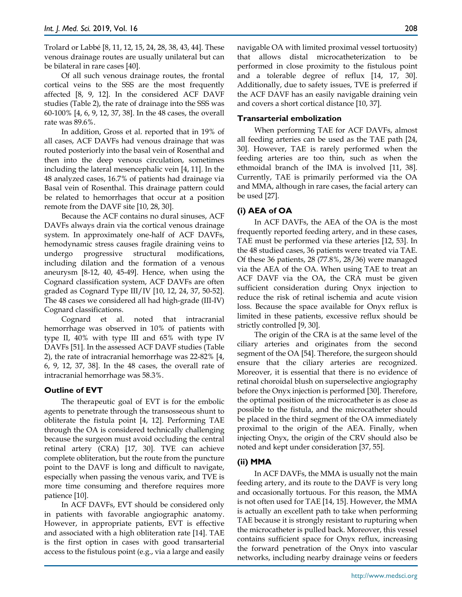Trolard or Labbé [8, 11, 12, 15, 24, 28, 38, 43, 44]. These venous drainage routes are usually unilateral but can be bilateral in rare cases [40].

Of all such venous drainage routes, the frontal cortical veins to the SSS are the most frequently affected [8, 9, 12]. In the considered ACF DAVF studies (Table 2), the rate of drainage into the SSS was 60-100% [4, 6, 9, 12, 37, 38]. In the 48 cases, the overall rate was 89.6%.

In addition, Gross et al. reported that in 19% of all cases, ACF DAVFs had venous drainage that was routed posteriorly into the basal vein of Rosenthal and then into the deep venous circulation, sometimes including the lateral mesencephalic vein [4, 11]. In the 48 analyzed cases, 16.7% of patients had drainage via Basal vein of Rosenthal. This drainage pattern could be related to hemorrhages that occur at a position remote from the DAVF site [10, 28, 30].

Because the ACF contains no dural sinuses, ACF DAVFs always drain via the cortical venous drainage system. In approximately one-half of ACF DAVFs, hemodynamic stress causes fragile draining veins to undergo progressive structural modifications, including dilation and the formation of a venous aneurysm [8-12, 40, 45-49]. Hence, when using the Cognard classification system, ACF DAVFs are often graded as Cognard Type III/IV [10, 12, 24, 37, 50-52]. The 48 cases we considered all had high-grade (III-IV) Cognard classifications.

Cognard et al. noted that intracranial hemorrhage was observed in 10% of patients with type II, 40% with type III and 65% with type IV DAVFs [51]. In the assessed ACF DAVF studies (Table 2), the rate of intracranial hemorrhage was 22-82% [4, 6, 9, 12, 37, 38]. In the 48 cases, the overall rate of intracranial hemorrhage was 58.3%.

# **Outline of EVT**

The therapeutic goal of EVT is for the embolic agents to penetrate through the transosseous shunt to obliterate the fistula point [4, 12]. Performing TAE through the OA is considered technically challenging because the surgeon must avoid occluding the central retinal artery (CRA) [17, 30]. TVE can achieve complete obliteration, but the route from the puncture point to the DAVF is long and difficult to navigate, especially when passing the venous varix, and TVE is more time consuming and therefore requires more patience [10].

In ACF DAVFs, EVT should be considered only in patients with favorable angiographic anatomy. However, in appropriate patients, EVT is effective and associated with a high obliteration rate [14]. TAE is the first option in cases with good transarterial access to the fistulous point (e.g., via a large and easily navigable OA with limited proximal vessel tortuosity) that allows distal microcatheterization to be performed in close proximity to the fistulous point and a tolerable degree of reflux [14, 17, 30]. Additionally, due to safety issues, TVE is preferred if the ACF DAVF has an easily navigable draining vein and covers a short cortical distance [10, 37].

# **Transarterial embolization**

When performing TAE for ACF DAVFs, almost all feeding arteries can be used as the TAE path [24, 30]. However, TAE is rarely performed when the feeding arteries are too thin, such as when the ethmoidal branch of the IMA is involved [11, 38]. Currently, TAE is primarily performed via the OA and MMA, although in rare cases, the facial artery can be used [27].

# **(i) AEA of OA**

In ACF DAVFs, the AEA of the OA is the most frequently reported feeding artery, and in these cases, TAE must be performed via these arteries [12, 53]. In the 48 studied cases, 36 patients were treated via TAE. Of these 36 patients, 28 (77.8%, 28/36) were managed via the AEA of the OA. When using TAE to treat an ACF DAVF via the OA, the CRA must be given sufficient consideration during Onyx injection to reduce the risk of retinal ischemia and acute vision loss. Because the space available for Onyx reflux is limited in these patients, excessive reflux should be strictly controlled [9, 30].

The origin of the CRA is at the same level of the ciliary arteries and originates from the second segment of the OA [54]. Therefore, the surgeon should ensure that the ciliary arteries are recognized. Moreover, it is essential that there is no evidence of retinal choroidal blush on superselective angiography before the Onyx injection is performed [30]. Therefore, the optimal position of the microcatheter is as close as possible to the fistula, and the microcatheter should be placed in the third segment of the OA immediately proximal to the origin of the AEA. Finally, when injecting Onyx, the origin of the CRV should also be noted and kept under consideration [37, 55].

# **(ii) MMA**

In ACF DAVFs, the MMA is usually not the main feeding artery, and its route to the DAVF is very long and occasionally tortuous. For this reason, the MMA is not often used for TAE [14, 15]. However, the MMA is actually an excellent path to take when performing TAE because it is strongly resistant to rupturing when the microcatheter is pulled back. Moreover, this vessel contains sufficient space for Onyx reflux, increasing the forward penetration of the Onyx into vascular networks, including nearby drainage veins or feeders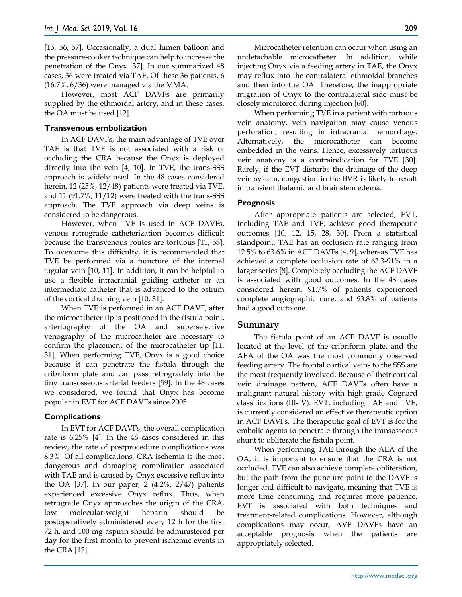[15, 56, 57]. Occasionally, a dual lumen balloon and the pressure-cooker technique can help to increase the penetration of the Onyx [37]. In our summarized 48 cases, 36 were treated via TAE. Of these 36 patients, 6  $(16.7\% \cdot 6/36)$  were managed via the MMA.

However, most ACF DAVFs are primarily supplied by the ethmoidal artery, and in these cases, the OA must be used [12].

### **Transvenous embolization**

In ACF DAVFs, the main advantage of TVE over TAE is that TVE is not associated with a risk of occluding the CRA because the Onyx is deployed directly into the vein [4, 10]. In TVE, the trans-SSS approach is widely used. In the 48 cases considered herein, 12 (25%, 12/48) patients were treated via TVE, and 11 (91.7%, 11/12) were treated with the trans-SSS approach. The TVE approach via deep veins is considered to be dangerous.

However, when TVE is used in ACF DAVFs, venous retrograde catheterization becomes difficult because the transvenous routes are tortuous [11, 58]. To overcome this difficulty, it is recommended that TVE be performed via a puncture of the internal jugular vein [10, 11]. In addition, it can be helpful to use a flexible intracranial guiding catheter or an intermediate catheter that is advanced to the ostium of the cortical draining vein [10, 31].

When TVE is performed in an ACF DAVF, after the microcatheter tip is positioned in the fistula point, arteriography of the OA and superselective venography of the microcatheter are necessary to confirm the placement of the microcatheter tip [11, 31]. When performing TVE, Onyx is a good choice because it can penetrate the fistula through the cribriform plate and can pass retrogradely into the tiny transosseous arterial feeders [59]. In the 48 cases we considered, we found that Onyx has become popular in EVT for ACF DAVFs since 2005.

## **Complications**

In EVT for ACF DAVFs, the overall complication rate is 6.25% [4]. In the 48 cases considered in this review, the rate of postprocedure complications was 8.3%. Of all complications, CRA ischemia is the most dangerous and damaging complication associated with TAE and is caused by Onyx excessive reflux into the OA [37]. In our paper, 2 (4.2%, 2/47) patients experienced excessive Onyx reflux. Thus, when retrograde Onyx approaches the origin of the CRA, low molecular-weight heparin should be postoperatively administered every 12 h for the first 72 h, and 100 mg aspirin should be administered per day for the first month to prevent ischemic events in the CRA [12].

Microcatheter retention can occur when using an undetachable microcatheter. In addition, while injecting Onyx via a feeding artery in TAE, the Onyx may reflux into the contralateral ethmoidal branches and then into the OA. Therefore, the inappropriate migration of Onyx to the contralateral side must be closely monitored during injection [60].

When performing TVE in a patient with tortuous vein anatomy, vein navigation may cause venous perforation, resulting in intracranial hemorrhage. Alternatively, the microcatheter can become embedded in the veins. Hence, excessively tortuous vein anatomy is a contraindication for TVE [30]. Rarely, if the EVT disturbs the drainage of the deep vein system, congestion in the BVR is likely to result in transient thalamic and brainstem edema.

## **Prognosis**

After appropriate patients are selected, EVT, including TAE and TVE, achieve good therapeutic outcomes [10, 12, 15, 28, 30]. From a statistical standpoint, TAE has an occlusion rate ranging from 12.5% to 63.6% in ACF DAVFs [4, 9], whereas TVE has achieved a complete occlusion rate of 63.3-91% in a larger series [8]. Completely occluding the ACF DAVF is associated with good outcomes. In the 48 cases considered herein, 91.7% of patients experienced complete angiographic cure, and 93.8% of patients had a good outcome.

# **Summary**

The fistula point of an ACF DAVF is usually located at the level of the cribriform plate, and the AEA of the OA was the most commonly observed feeding artery. The frontal cortical veins to the SSS are the most frequently involved. Because of their cortical vein drainage pattern, ACF DAVFs often have a malignant natural history with high-grade Cognard classifications (III-IV). EVT, including TAE and TVE, is currently considered an effective therapeutic option in ACF DAVFs. The therapeutic goal of EVT is for the embolic agents to penetrate through the transosseous shunt to obliterate the fistula point.

When performing TAE through the AEA of the OA, it is important to ensure that the CRA is not occluded. TVE can also achieve complete obliteration, but the path from the puncture point to the DAVF is longer and difficult to navigate, meaning that TVE is more time consuming and requires more patience. EVT is associated with both technique- and treatment-related complications. However, although complications may occur, AVF DAVFs have an acceptable prognosis when the patients are appropriately selected.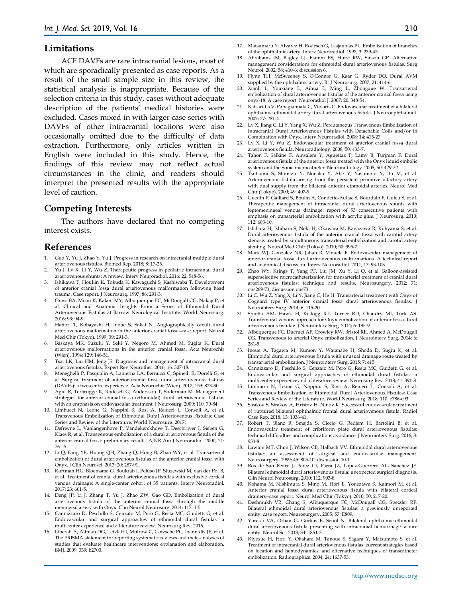#### **Limitations**

ACF DAVFs are rare intracranial lesions, most of which are sporadically presented as case reports. As a result of the small sample size in this review, the statistical analysis is inappropriate. Because of the selection criteria in this study, cases without adequate description of the patients' medical histories were excluded. Cases mixed in with larger case series with DAVFs of other intracranial locations were also occasionally omitted due to the difficulty of data extraction. Furthermore, only articles written in English were included in this study. Hence, the findings of this review may not reflect actual circumstances in the clinic, and readers should interpret the presented results with the appropriate level of caution.

## **Competing Interests**

The authors have declared that no competing interest exists.

# **References**

- 1. Guo Y, Yu J, Zhao Y, Yu J. Progress in research on intracranial multiple dural arteriovenous fistulas. Biomed Rep. 2018; 8: 17-25.
- Yu J, Lv X, Li Y, Wu Z. Therapeutic progress in pediatric intracranial dural arteriovenous shunts: A review. Interv Neuroradiol. 2016; 22: 548-56.
- 3. Ishikawa T, Houkin K, Tokuda K, Kawaguchi S, Kashiwaba T. Development of anterior cranial fossa dural arteriovenous malformation following head trauma. Case report. J Neurosurg. 1997; 86: 291-3.
- 4. Gross BA, Moon K, Kalani MY, Albuquerque FC, McDougall CG, Nakaji P, et al. Clinical and Anatomic Insights From a Series of Ethmoidal Dural Arteriovenous Fistulas at Barrow Neurological Institute. World Neurosurg. 2016; 93: 94-9.
- 5. Hattori T, Kobayashi H, Inoue S, Sakai N. Angiographically occult dural arteriovenous malformation in the anterior cranial fossa--case report. Neurol Med Chir (Tokyo). 1999; 39: 291-3.
- 6. Baskaya MK, Suzuki Y, Seki Y, Negoro M, Ahmed M, Sugita K. Dural arteriovenous malformations in the anterior cranial fossa. Acta Neurochir (Wien). 1994; 129: 146-51.
- 7. Tsai LK, Liu HM, Jeng JS. Diagnosis and management of intracranial dural arteriovenous fistulas. Expert Rev Neurother. 2016; 16: 307-18.
- 8. Meneghelli P, Pasqualin A, Lanterna LA, Bernucci C, Spinelli R, Dorelli G, et al. Surgical treatment of anterior cranial fossa dural arterio-venous fistulas (DAVFs): a two-centre experience. Acta Neurochir (Wien). 2017; 159: 823-30.
- Agid R, Terbrugge K, Rodesch G, Andersson T, Soderman M. Management strategies for anterior cranial fossa (ethmoidal) dural arteriovenous fistulas with an emphasis on endovascular treatment. J Neurosurg. 2009; 110: 79-84.
- 10. Limbucci N, Leone G, Nappini S, Rosi A, Renieri L, Consoli A, et al. Transvenous Embolization of Ethmoidal Dural Arteriovenous Fistulas: Case Series and Review of the Literature. World Neurosurg. 2017.
- 11. Defreyne L, Vanlangenhove P, Vandekerckhove T, Deschrijver I, Sieben G, Klaes R, et al. Transvenous embolization of a dural arteriovenous fistula of the anterior cranial fossa: preliminary results. AJNR Am J Neuroradiol. 2000; 21: 761-5.
- 12. Li Q, Fang YB, Huang QH, Zhang Q, Hong B, Zhao WY, et al. Transarterial embolization of dural arteriovenous fistulas of the anterior cranial fossa with Onyx. J Clin Neurosci. 2013; 20: 287-91.
- 13. Kortman HG, Bloemsma G, Boukrab I, Peluso JP, Sluzewski M, van der Pol B, et al. Treatment of cranial dural arteriovenous fistulas with exclusive cortical venous drainage: A single-center cohort of 35 patients. Interv Neuroradiol. 2017; 23: 661-5.
- 14. Deng JP, Li J, Zhang T, Yu J, Zhao ZW, Gao GD. Embolization of dural arteriovenous fistula of the anterior cranial fossa through the middle meningeal artery with Onyx. Clin Neurol Neurosurg. 2014; 117: 1-5.
- Cannizzaro D, Peschillo S, Cenzato M, Pero G, Resta MC, Guidetti G, et al. Endovascular and surgical approaches of ethmoidal dural fistulas: a multicenter experience and a literature review. Neurosurg Rev. 2016.
- 16. Liberati A, Altman DG, Tetzlaff J, Mulrow C, Gotzsche PC, Ioannidis JP, et al. The PRISMA statement for reporting systematic reviews and meta-analyses of studies that evaluate healthcare interventions: explanation and elaboration. BMJ. 2009; 339: b2700.
- 17. Matsumaru Y, Alvarez H, Rodesch G, Lasjaunias PL. Embolisation of branches of the ophthalmic artery. Interv Neuroradiol. 1997; 3: 239-45.
- 18. Abrahams JM, Bagley LJ, Flamm ES, Hurst RW, Sinson GP. Alternative management considerations for ethmoidal dural arteriovenous fistulas. Surg Neurol. 2002; 58: 410-6; discussion 6.
- 19. Flynn TH, McSweeney S, O'Connor G, Kaar G, Ryder DQ. Dural AVM supplied by the ophthalmic artery. Br J Neurosurg. 2007; 21: 414-6.
- 20. Xianli L, Youxiang L, Aihua L, Ming L, Zhongxue W. Transarterial embolization of dural arteriovenous fistulas of the anterior cranial fossa using onyx-18. A case report. Neuroradiol J. 2007; 20: 348-54.
- 21. Katsaridis V, Papagiannaki C, Violaris C. Endovascular treatment of a bilateral ophthalmic-ethmoidal artery dural arteriovenous fistula. J Neuroophthalmol. 2007; 27: 281-4.
- 22. Lv X, Jiang C, Li Y, Yang X, Wu Z. Percutaneous Transvenous Embolization of Intracranial Dural Arteriovenous Fistulas with Detachable Coils and/or in Combination with Onyx. Interv Neuroradiol. 2008; 14: 415-27.
- 23. Lv X, Li Y, Wu Z. Endovascular treatment of anterior cranial fossa dural arteriovenous fistula. Neuroradiology. 2008; 50: 433-7.
- 24. Tahon F, Salkine F, Amsalem Y, Aguettaz P, Lamy B, Turjman F. Dural arteriovenous fistula of the anterior fossa treated with the Onyx liquid embolic system and the Sonic microcatheter. Neuroradiology. 2008; 50: 429-32.
- 25. Tsutsumi S, Shimizu Y, Nonaka Y, Abe Y, Yasumoto Y, Ito M, et al. Arteriovenous fistula arising from the persistent primitive olfactory artery with dual supply from the bilateral anterior ethmoidal arteries. Neurol Med Chir (Tokyo). 2009; 49: 407-9.
- 26. Guedin P, Gaillard S, Boulin A, Condette-Auliac S, Bourdain F, Guieu S, et al. Therapeutic management of intracranial dural arteriovenous shunts with leptomeningeal venous drainage: report of 53 consecutive patients with emphasis on transarterial embolization with acrylic glue. J Neurosurg. 2010; 112: 603-10.
- 27. Ishihara H, Ishihara S, Neki H, Okawara M, Kanazawa R, Kohyama S, et al. Dural arteriovenous fistula of the anterior cranial fossa with carotid artery stenosis treated by simultaneous transarterial embolization and carotid artery stenting. Neurol Med Chir (Tokyo). 2010; 50: 995-7.
- 28. Mack WJ, Gonzalez NR, Jahan R, Vinuela F. Endovascular management of anterior cranial fossa dural arteriovenous malformations. A technical report and anatomical discussion. Interv Neuroradiol. 2011; 17: 93-103.
- 29. Zhao WY, Krings T, Yang PF, Liu JM, Xu Y, Li Q, et al. Balloon-assisted superselective microcatheterization for transarterial treatment of cranial dural arteriovenous fistulas: technique and results. Neurosurgery. 2012; 71: ons269-73; discussion ons73.
- 30. Li C, Wu Z, Yang X, Li Y, Jiang C, He H. Transarterial treatment with Onyx of Cognard type IV anterior cranial fossa dural arteriovenous fistulas. J Neurointerv Surg. 2014; 6: 115-20.
- 31. Spiotta AM, Hawk H, Kellogg RT, Turner RD, Chaudry MI, Turk AS. Transfemoral venous approach for Onyx embolization of anterior fossa dural arteriovenous fistulae. J Neurointerv Surg. 2014; 6: 195-9.
- 32. Albuquerque FC, Ducruet AF, Crowley RW, Bristol RE, Ahmed A, McDougall CG. Transvenous to arterial Onyx embolization. J Neurointerv Surg. 2014; 6: 281-5.
- 33. Inoue A, Tagawa M, Kumon Y, Watanabe H, Shoda D, Sugiu K, et al. Ethmoidal dural arteriovenous fistula with unusual drainage route treated by transarterial embolization. J Neurointerv Surg. 2015; 7: e15.
- 34. Cannizzaro D, Peschillo S, Cenzato M, Pero G, Resta MC, Guidetti G, et al. Endovascular and surgical approaches of ethmoidal dural fistulas: a multicenter experience and a literature review. Neurosurg Rev. 2018; 41: 391-8.
- 35. Limbucci N, Leone G, Nappini S, Rosi A, Renieri L, Consoli A, et al. Transvenous Embolization of Ethmoidal Dural Arteriovenous Fistulas: Case Series and Review of the Literature. World Neurosurg. 2018; 110: e786-e93.
- 36. Sirakov S, Sirakov A, Hristov H, Ninov K. Successful endovascular treatment of ruptured bilateral ophthalmic frontal dural arteriovenous fistula. Radiol Case Rep. 2018; 13: 1036-41.
- 37. Robert T, Blanc R, Smajda S, Ciccio G, Redjem H, Bartolini B, et al. Endovascular treatment of cribriform plate dural arteriovenous fistulas: technical difficulties and complications avoidance. J Neurointerv Surg. 2016; 8: 954-8.
- 38. Lawton MT, Chun J, Wilson CB, Halbach VV. Ethmoidal dural arteriovenous fistulae: an assessment of surgical and endovascular management. Neurosurgery. 1999; 45: 805-10; discussion 10-1.
- 39. Ros de San Pedro J, Perez CJ, Parra JZ, Lopez-Guerrero AL, Sanchez JF. Bilateral ethmoidal dural arteriovenous fistula: unexpected surgical diagnosis. Clin Neurol Neurosurg. 2010; 112: 903-8.
- 40. Kohama M, Nishimura S, Mino M, Hori E, Yonezawa S, Kaimori M, et al. Anterior cranial fossa dural arteriovenous fistula with bilateral cortical drainers--case report. Neurol Med Chir (Tokyo). 2010; 50: 217-20.
- 41. Deshmukh VR, Chang S, Albuquerque FC, McDougall CG, Spetzler RF. Bilateral ethmoidal dural arteriovenous fistulae: a previously unreported entity: case report. Neurosurgery. 2005; 57: E809.
- 42. Yurekli VA, Orhan G, Gurkas E, Senol N. Bilateral ophthalmic-ethmoidal dural arteriovenous fistula presenting with intracranial hemorrhage: a rare entity. Neurol Sci. 2013; 34: 1851-3.
- Kiyosue H, Hori Y, Okahara M, Tanoue S, Sagara Y, Matsumoto S, et al. Treatment of intracranial dural arteriovenous fistulas: current strategies based on location and hemodynamics, and alternative techniques of transcatheter embolization. Radiographics. 2004; 24: 1637-53.